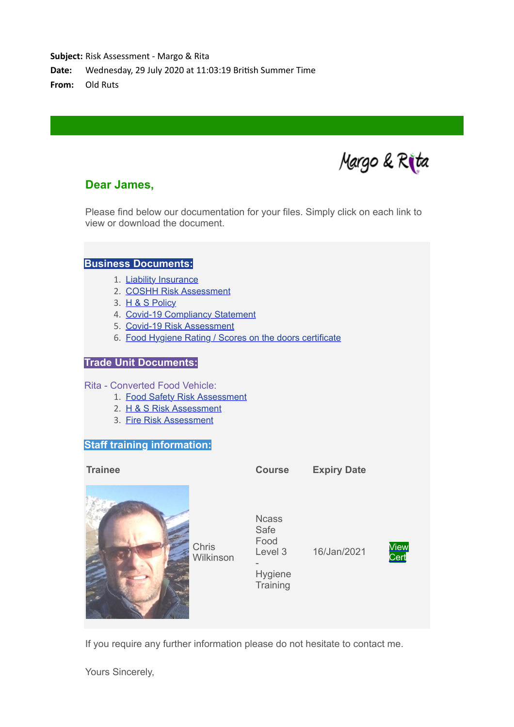**Subject:** Risk Assessment - Margo & Rita

Date: Wednesday, 29 July 2020 at 11:03:19 British Summer Time

**From:** Old Ruts

Margo & Rita

## **Dear James,**

Please find below our documentation for your files. Simply click on each link to view or download the document.

#### **Business Documents:**

- 1. [Liability Insurance](https://mandrillapp.com/track/click/31128503/www.ncass.org.uk?p=eyJzIjoidU1PUnhYTWptZHA5VGlZREdoNjFxT0pSdHlJIiwidiI6MSwicCI6IntcInVcIjozMTEyODUwMyxcInZcIjoxLFwidXJsXCI6XCJodHRwOlxcXC9cXFwvd3d3Lm5jYXNzLm9yZy51a1xcXC9tZW1iZXJzXFxcLzExNjYzXFxcLzIwMzgwN19saWFiaWxpdHlpbnN1cmFuY2UucGRmXCIsXCJpZFwiOlwiNTNkMGNjNTc2ODUzNGI4N2EzM2FmNTI0ZDQwZDc5YmVcIixcInVybF9pZHNcIjpbXCI4ZjFkNzg1ZmI2MTRiNTUyYTdlODc3YjZmYjU4YTc3N2Q3N2I5YWMxXCJdfSJ9)
- 2. [COSHH Risk Assessment](https://mandrillapp.com/track/click/31128503/www.ncass.org.uk?p=eyJzIjoiQ2hrd2FTNi1TSkFoUTZManZEM2RSYkd2QVdJIiwidiI6MSwicCI6IntcInVcIjozMTEyODUwMyxcInZcIjoxLFwidXJsXCI6XCJodHRwOlxcXC9cXFwvd3d3Lm5jYXNzLm9yZy51a1xcXC9tZW1iZXJzXFxcLzExNjYzXFxcLzIxMjA4X0NPU0hIX1Jpc2tfQXNzZXNzbWVudC5wZGZcIixcImlkXCI6XCI1M2QwY2M1NzY4NTM0Yjg3YTMzYWY1MjRkNDBkNzliZVwiLFwidXJsX2lkc1wiOltcIjNlMzBkZjBhNTY5ZTgwYWQ5MmM0ZGVmMDMyN2JhZDhiMzBhMGMyYmRcIl19In0)
- 3. [H & S Policy](https://mandrillapp.com/track/click/31128503/www.ncass.org.uk?p=eyJzIjoiNzU5STdHb25vU3M2bkprdVZPNEVFV1I1STdVIiwidiI6MSwicCI6IntcInVcIjozMTEyODUwMyxcInZcIjoxLFwidXJsXCI6XCJodHRwOlxcXC9cXFwvd3d3Lm5jYXNzLm9yZy51a1xcXC9tZW1iZXJzXFxcLzExNjYzXFxcLzIxMjA4X2hfc19wb2xpY3kucGRmXCIsXCJpZFwiOlwiNTNkMGNjNTc2ODUzNGI4N2EzM2FmNTI0ZDQwZDc5YmVcIixcInVybF9pZHNcIjpbXCJjMmE5Nzk5ODhkMGVjMDQ4NzBhMGU1YmQ3NTQ1ZWFlMjM4YzI5ZjBlXCJdfSJ9)
- 4. [Covid-19 Compliancy Statement](https://mandrillapp.com/track/click/31128503/www.ncass.org.uk?p=eyJzIjoiMWJYeEdQOEtyYW52ZXhXbEU3ODBYdzFJbkkwIiwidiI6MSwicCI6IntcInVcIjozMTEyODUwMyxcInZcIjoxLFwidXJsXCI6XCJodHRwOlxcXC9cXFwvd3d3Lm5jYXNzLm9yZy51a1xcXC9tZW1iZXJzXFxcLzExNjYzXFxcL19jb3ZpZC0xOWNvbXBsaWFuY3lzdGF0ZW1lbnQucGRmXCIsXCJpZFwiOlwiNTNkMGNjNTc2ODUzNGI4N2EzM2FmNTI0ZDQwZDc5YmVcIixcInVybF9pZHNcIjpbXCI3YWFiYzUzMjAzNzM1OWIxMjQzOWJhMTg3MWMxMTJhOTlmMTNhMWZiXCJdfSJ9)
- 5. [Covid-19 Risk Assessment](https://mandrillapp.com/track/click/31128503/www.ncass.org.uk?p=eyJzIjoiVDh2YURUVkJpOGNUY2tyNjVkSXRxeC1BZmNvIiwidiI6MSwicCI6IntcInVcIjozMTEyODUwMyxcInZcIjoxLFwidXJsXCI6XCJodHRwOlxcXC9cXFwvd3d3Lm5jYXNzLm9yZy51a1xcXC9tZW1iZXJzXFxcLzExNjYzXFxcL19jb3ZpZC0xOXJpc2thc3Nlc3NtZW50LnBkZlwiLFwiaWRcIjpcIjUzZDBjYzU3Njg1MzRiODdhMzNhZjUyNGQ0MGQ3OWJlXCIsXCJ1cmxfaWRzXCI6W1wiZmUzZjU2MzU0Y2NlYzM0MWJjNzExNTdlNzZkZWI3NDUxYTE1ZTNjYlwiXX0ifQ)
- 6. [Food Hygiene Rating / Scores on the doors certificate](https://mandrillapp.com/track/click/31128503/ratings.food.gov.uk?p=eyJzIjoiczFFdUo4RFJRNUVKbFZYaEdmVzd1ZXlPczRBIiwidiI6MSwicCI6IntcInVcIjozMTEyODUwMyxcInZcIjoxLFwidXJsXCI6XCJodHRwczpcXFwvXFxcL3JhdGluZ3MuZm9vZC5nb3YudWtcXFwvYnVzaW5lc3NcXFwvNzU5NTE3XCIsXCJpZFwiOlwiNTNkMGNjNTc2ODUzNGI4N2EzM2FmNTI0ZDQwZDc5YmVcIixcInVybF9pZHNcIjpbXCIxZjUxZjFlMjY2ZmJkNDA5YmQ4OTVkOWNhYzNkNTNjMDM1OTc1ZmZmXCJdfSJ9)

### **Trade Unit Documents:**

Rita - Converted Food Vehicle:

- 1. [Food Safety Risk Assessment](https://mandrillapp.com/track/click/31128503/www.ncass.org.uk?p=eyJzIjoiNzlsWkZkTHhDclpQbWdqSWZvNTdWVEZ3VUZvIiwidiI6MSwicCI6IntcInVcIjozMTEyODUwMyxcInZcIjoxLFwidXJsXCI6XCJodHRwOlxcXC9cXFwvd3d3Lm5jYXNzLm9yZy51a1xcXC9IQUNDUF9ORVdcXFwvdG1wXFxcLzEyMjIwMjAxODI1MzUucGRmXCIsXCJpZFwiOlwiNTNkMGNjNTc2ODUzNGI4N2EzM2FmNTI0ZDQwZDc5YmVcIixcInVybF9pZHNcIjpbXCI5NzFiMjUxNWM5NjczNWViZTEyNTAzOTZkMjMwMmIxNzliNDgxYmE4XCJdfSJ9)
- 2. [H & S Risk Assessment](https://mandrillapp.com/track/click/31128503/www.ncass.org.uk?p=eyJzIjoiQl9zX01wdDctazFIaW1IUEJQNU9OcHZSTng0IiwidiI6MSwicCI6IntcInVcIjozMTEyODUwMyxcInZcIjoxLFwidXJsXCI6XCJodHRwOlxcXC9cXFwvd3d3Lm5jYXNzLm9yZy51a1xcXC9IU1JBX05FV1xcXC90bXBcXFwvMTIyMjAyMDE4Mjg4LnBkZlwiLFwiaWRcIjpcIjUzZDBjYzU3Njg1MzRiODdhMzNhZjUyNGQ0MGQ3OWJlXCIsXCJ1cmxfaWRzXCI6W1wiY2E4ZTEzNjQ4ZTdhOTQwMWRhMjM0NTlkZGI1MjZmZjQ0YWU2Y2VkOFwiXX0ifQ)
- 3. [Fire Risk Assessment](https://mandrillapp.com/track/click/31128503/www.ncass.org.uk?p=eyJzIjoiRVdYQjhVWHBoTTVTd3Azd25BdXU4R0V5NDBFIiwidiI6MSwicCI6IntcInVcIjozMTEyODUwMyxcInZcIjoxLFwidXJsXCI6XCJodHRwOlxcXC9cXFwvd3d3Lm5jYXNzLm9yZy51a1xcXC9GUkFfTkVXXFxcL3RtcFxcXC8xMjIyMDIwMTgyODU1LnBkZlwiLFwiaWRcIjpcIjUzZDBjYzU3Njg1MzRiODdhMzNhZjUyNGQ0MGQ3OWJlXCIsXCJ1cmxfaWRzXCI6W1wiMzI5MWM0NTYwYzdlYWU0NjI5ZTM5MjVjOTg1NzIyZTVmODkzMWI5ZVwiXX0ifQ)

### **Staff training information:**

| <b>Trainee</b> |                    | <b>Course</b>                                                  | <b>Expiry Date</b> |              |
|----------------|--------------------|----------------------------------------------------------------|--------------------|--------------|
|                | Chris<br>Wilkinson | <b>Ncass</b><br>Safe<br>Food<br>Level 3<br>Hygiene<br>Training | 16/Jan/2021        | View<br>Cert |

If you require any further information please do not hesitate to contact me.

Yours Sincerely,